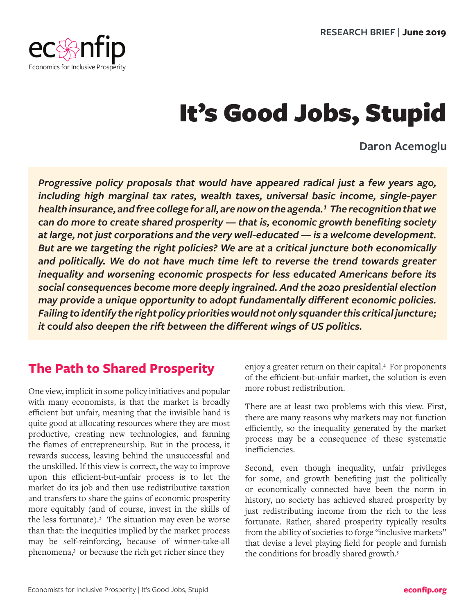

# It's Good Jobs, Stupid

#### **Daron Acemoglu**

*Progressive policy proposals that would have appeared radical just a few years ago, including high marginal tax rates, wealth taxes, universal basic income, single-payer*  health insurance, and free college for all, are now on the agenda.<sup>1</sup> The recognition that we *can do more to create shared prosperity — that is, economic growth benefiting society at large, not just corporations and the very well-educated — is a welcome development. But are we targeting the right policies? We are at a critical juncture both economically and politically. We do not have much time left to reverse the trend towards greater inequality and worsening economic prospects for less educated Americans before its social consequences become more deeply ingrained. And the 2020 presidential election may provide a unique opportunity to adopt fundamentally different economic policies. Failing to identify the right policy priorities would not only squander this critical juncture; it could also deepen the rift between the different wings of US politics.* 

#### **The Path to Shared Prosperity**

One view, implicit in some policy initiatives and popular with many economists, is that the market is broadly efficient but unfair, meaning that the invisible hand is quite good at allocating resources where they are most productive, creating new technologies, and fanning the flames of entrepreneurship. But in the process, it rewards success, leaving behind the unsuccessful and the unskilled. If this view is correct, the way to improve upon this efficient-but-unfair process is to let the market do its job and then use redistributive taxation and transfers to share the gains of economic prosperity more equitably (and of course, invest in the skills of the less fortunate). $2$  The situation may even be worse than that: the inequities implied by the market process may be self-reinforcing, because of winner-take-all phenomena,<sup>3</sup> or because the rich get richer since they

enjoy a greater return on their capital.4 For proponents of the efficient-but-unfair market, the solution is even more robust redistribution.

There are at least two problems with this view. First, there are many reasons why markets may not function efficiently, so the inequality generated by the market process may be a consequence of these systematic inefficiencies.

Second, even though inequality, unfair privileges for some, and growth benefiting just the politically or economically connected have been the norm in history, no society has achieved shared prosperity by just redistributing income from the rich to the less fortunate. Rather, shared prosperity typically results from the ability of societies to forge "inclusive markets" that devise a level playing field for people and furnish the conditions for broadly shared growth.<sup>5</sup>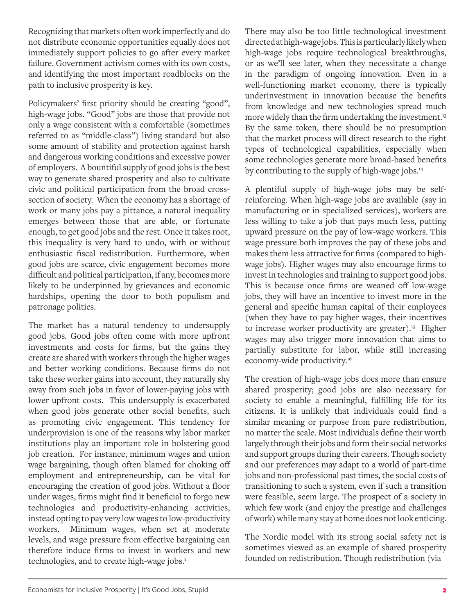Recognizing that markets often work imperfectly and do not distribute economic opportunities equally does not immediately support policies to go after every market failure. Government activism comes with its own costs, and identifying the most important roadblocks on the path to inclusive prosperity is key.

Policymakers' first priority should be creating "good", high-wage jobs. "Good" jobs are those that provide not only a wage consistent with a comfortable (sometimes referred to as "middle-class") living standard but also some amount of stability and protection against harsh and dangerous working conditions and excessive power of employers. A bountiful supply of good jobs is the best way to generate shared prosperity and also to cultivate civic and political participation from the broad crosssection of society. When the economy has a shortage of work or many jobs pay a pittance, a natural inequality emerges between those that are able, or fortunate enough, to get good jobs and the rest. Once it takes root, this inequality is very hard to undo, with or without enthusiastic fiscal redistribution. Furthermore, when good jobs are scarce, civic engagement becomes more difficult and political participation, if any, becomes more likely to be underpinned by grievances and economic hardships, opening the door to both populism and patronage politics.

The market has a natural tendency to undersupply good jobs. Good jobs often come with more upfront investments and costs for firms, but the gains they create are shared with workers through the higher wages and better working conditions. Because firms do not take these worker gains into account, they naturally shy away from such jobs in favor of lower-paying jobs with lower upfront costs. This undersupply is exacerbated when good jobs generate other social benefits, such as promoting civic engagement. This tendency for underprovision is one of the reasons why labor market institutions play an important role in bolstering good job creation. For instance, minimum wages and union wage bargaining, though often blamed for choking off employment and entrepreneurship, can be vital for encouraging the creation of good jobs. Without a floor under wages, firms might find it beneficial to forgo new technologies and productivity-enhancing activities, instead opting to pay very low wages to low-productivity workers. Minimum wages, when set at moderate levels, and wage pressure from effective bargaining can therefore induce firms to invest in workers and new technologies, and to create high-wage jobs.<sup>[1](#page-8-0)</sup>

There may also be too little technological investment directed at high-wage jobs. This is particularly likely when high-wage jobs require technological breakthroughs, or as we'll see later, when they necessitate a change in the paradigm of ongoing innovation. Even in a well-functioning market economy, there is typically underinvestment in innovation because the benefits from knowledge and new technologies spread much more widely than the firm undertaking the investment.<sup>13</sup> By the same token, there should be no presumption that the market process will direct research to the right types of technological capabilities, especially when some technologies generate more broad-based benefits by contributing to the supply of high-wage jobs.<sup>14</sup>

A plentiful supply of high-wage jobs may be selfreinforcing. When high-wage jobs are available (say in manufacturing or in specialized services), workers are less willing to take a job that pays much less, putting upward pressure on the pay of low-wage workers. This wage pressure both improves the pay of these jobs and makes them less attractive for firms (compared to highwage jobs). Higher wages may also encourage firms to invest in technologies and training to support good jobs. This is because once firms are weaned off low-wage jobs, they will have an incentive to invest more in the general and specific human capital of their employees (when they have to pay higher wages, their incentives to increase worker productivity are greater).<sup>15</sup> Higher wages may also trigger more innovation that aims to partially substitute for labor, while still increasing economy-wide productivity.16

The creation of high-wage jobs does more than ensure shared prosperity; good jobs are also necessary for society to enable a meaningful, fulfilling life for its citizens. It is unlikely that individuals could find a similar meaning or purpose from pure redistribution, no matter the scale. Most individuals define their worth largely through their jobs and form their social networks and support groups during their careers. Though society and our preferences may adapt to a world of part-time jobs and non-professional past times, the social costs of transitioning to such a system, even if such a transition were feasible, seem large. The prospect of a society in which few work (and enjoy the prestige and challenges of work) while many stay at home does not look enticing.

The Nordic model with its strong social safety net is sometimes viewed as an example of shared prosperity founded on redistribution. Though redistribution (via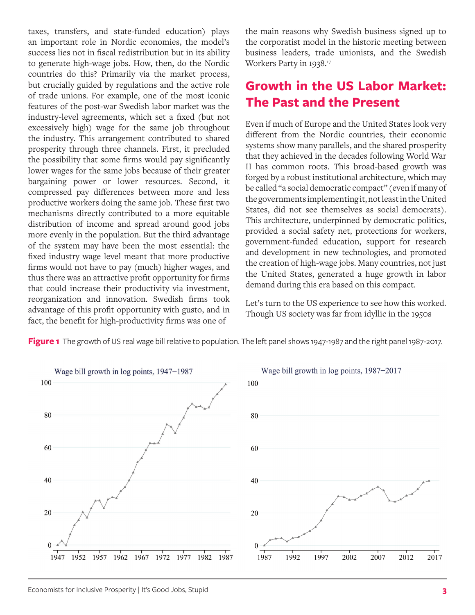taxes, transfers, and state-funded education) plays an important role in Nordic economies, the model's success lies not in fiscal redistribution but in its ability to generate high-wage jobs. How, then, do the Nordic countries do this? Primarily via the market process, but crucially guided by regulations and the active role of trade unions. For example, one of the most iconic features of the post-war Swedish labor market was the industry-level agreements, which set a fixed (but not excessively high) wage for the same job throughout the industry. This arrangement contributed to shared prosperity through three channels. First, it precluded the possibility that some firms would pay significantly lower wages for the same jobs because of their greater bargaining power or lower resources. Second, it compressed pay differences between more and less productive workers doing the same job. These first two mechanisms directly contributed to a more equitable distribution of income and spread around good jobs more evenly in the population. But the third advantage of the system may have been the most essential: the fixed industry wage level meant that more productive firms would not have to pay (much) higher wages, and thus there was an attractive profit opportunity for firms that could increase their productivity via investment, reorganization and innovation. Swedish firms took advantage of this profit opportunity with gusto, and in fact, the benefit for high-productivity firms was one of

the main reasons why Swedish business signed up to the corporatist model in the historic meeting between business leaders, trade unionists, and the Swedish Workers Party in 1938.17

#### **Growth in the US Labor Market: The Past and the Present**

Even if much of Europe and the United States look very different from the Nordic countries, their economic systems show many parallels, and the shared prosperity that they achieved in the decades following World War II has common roots. This broad-based growth was forged by a robust institutional architecture, which may be called "a social democratic compact" (even if many of the governments implementing it, not least in the United States, did not see themselves as social democrats). This architecture, underpinned by democratic politics, provided a social safety net, protections for workers, government-funded education, support for research and development in new technologies, and promoted the creation of high-wage jobs. Many countries, not just the United States, generated a huge growth in labor demand during this era based on this compact.

Let's turn to the US experience to see how this worked. Though US society was far from idyllic in the 1950s



Figure 1 The growth of US real wage bill relative to population. The left panel shows 1947-1987 and the right panel 1987-2017.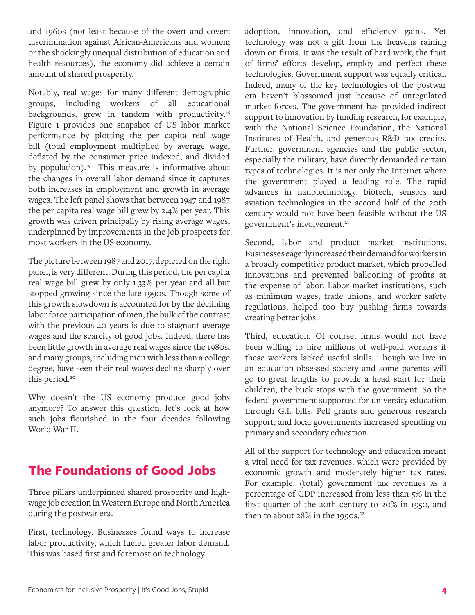and 1960s (not least because of the overt and covert discrimination against African-Americans and women; or the shockingly unequal distribution of education and health resources), the economy did achieve a certain amount of shared prosperity.

Notably, real wages for many different demographic groups, including workers of all educational backgrounds, grew in tandem with productivity.<sup>18</sup> Figure 1 provides one snapshot of US labor market performance by plotting the per capita real wage bill (total employment multiplied by average wage, deflated by the consumer price indexed, and divided by population).<sup>19</sup> This measure is informative about the changes in overall labor demand since it captures both increases in employment and growth in average wages. The left panel shows that between 1947 and 1987 the per capita real wage bill grew by 2.4% per year. This growth was driven principally by rising average wages, underpinned by improvements in the job prospects for most workers in the US economy.

The picture between 1987 and 2017, depicted on the right panel, is very different. During this period, the per capita real wage bill grew by only 1.33% per year and all but stopped growing since the late 1990s. Though some of this growth slowdown is accounted for by the declining labor force participation of men, the bulk of the contrast with the previous 40 years is due to stagnant average wages and the scarcity of good jobs. Indeed, there has been little growth in average real wages since the 1980s, and many groups, including men with less than a college degree, have seen their real wages decline sharply over this period.<sup>20</sup>

Why doesn't the US economy produce good jobs anymore? To answer this question, let's look at how such jobs flourished in the four decades following World War II.

## **The Foundations of Good Jobs**

Three pillars underpinned shared prosperity and highwage job creation in Western Europe and North America during the postwar era.

First, technology. Businesses found ways to increase labor productivity, which fueled greater labor demand. This was based first and foremost on technology

adoption, innovation, and efficiency gains. Yet technology was not a gift from the heavens raining down on firms. It was the result of hard work, the fruit of firms' efforts develop, employ and perfect these technologies. Government support was equally critical. Indeed, many of the key technologies of the postwar era haven't blossomed just because of unregulated market forces. The government has provided indirect support to innovation by funding research, for example, with the National Science Foundation, the National Institutes of Health, and generous R&D tax credits. Further, government agencies and the public sector, especially the military, have directly demanded certain types of technologies. It is not only the Internet where the government played a leading role. The rapid advances in nanotechnology, biotech, sensors and aviation technologies in the second half of the 20th century would not have been feasible without the US government's involvement.<sup>21</sup>

Second, labor and product market institutions. Businesses eagerly increased their demand for workers in a broadly competitive product market, which propelled innovations and prevented ballooning of profits at the expense of labor. Labor market institutions, such as minimum wages, trade unions, and worker safety regulations, helped too buy pushing firms towards creating better jobs.

Third, education. Of course, firms would not have been willing to hire millions of well-paid workers if these workers lacked useful skills. Though we live in an education-obsessed society and some parents will go to great lengths to provide a head start for their children, the buck stops with the government. So the federal government supported for university education through G.I. bills, Pell grants and generous research support, and local governments increased spending on primary and secondary education.

All of the support for technology and education meant a vital need for tax revenues, which were provided by economic growth and moderately higher tax rates. For example, (total) government tax revenues as a percentage of GDP increased from less than 5% in the first quarter of the 20th century to 20% in 1950, and then to about  $28\%$  in the 1990s.<sup>22</sup>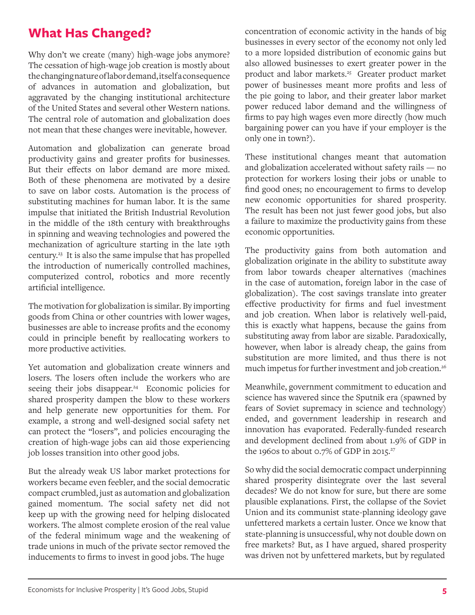## **What Has Changed?**

Why don't we create (many) high-wage jobs anymore? The cessation of high-wage job creation is mostly about the changing nature of labor demand, itself a consequence of advances in automation and globalization, but aggravated by the changing institutional architecture of the United States and several other Western nations. The central role of automation and globalization does not mean that these changes were inevitable, however.

Automation and globalization can generate broad productivity gains and greater profits for businesses. But their effects on labor demand are more mixed. Both of these phenomena are motivated by a desire to save on labor costs. Automation is the process of substituting machines for human labor. It is the same impulse that initiated the British Industrial Revolution in the middle of the 18th century with breakthroughs in spinning and weaving technologies and powered the mechanization of agriculture starting in the late 19th century.23 It is also the same impulse that has propelled the introduction of numerically controlled machines, computerized control, robotics and more recently artificial intelligence.

The motivation for globalization is similar. By importing goods from China or other countries with lower wages, businesses are able to increase profits and the economy could in principle benefit by reallocating workers to more productive activities.

Yet automation and globalization create winners and losers. The losers often include the workers who are seeing their jobs disappear.<sup>24</sup> Economic policies for shared prosperity dampen the blow to these workers and help generate new opportunities for them. For example, a strong and well-designed social safety net can protect the "losers", and policies encouraging the creation of high-wage jobs can aid those experiencing job losses transition into other good jobs.

But the already weak US labor market protections for workers became even feebler, and the social democratic compact crumbled, just as automation and globalization gained momentum. The social safety net did not keep up with the growing need for helping dislocated workers. The almost complete erosion of the real value of the federal minimum wage and the weakening of trade unions in much of the private sector removed the inducements to firms to invest in good jobs. The huge

concentration of economic activity in the hands of big businesses in every sector of the economy not only led to a more lopsided distribution of economic gains but also allowed businesses to exert greater power in the product and labor markets.<sup>25</sup> Greater product market power of businesses meant more profits and less of the pie going to labor, and their greater labor market power reduced labor demand and the willingness of firms to pay high wages even more directly (how much bargaining power can you have if your employer is the only one in town?).

These institutional changes meant that automation and globalization accelerated without safety rails — no protection for workers losing their jobs or unable to find good ones; no encouragement to firms to develop new economic opportunities for shared prosperity. The result has been not just fewer good jobs, but also a failure to maximize the productivity gains from these economic opportunities.

The productivity gains from both automation and globalization originate in the ability to substitute away from labor towards cheaper alternatives (machines in the case of automation, foreign labor in the case of globalization). The cost savings translate into greater effective productivity for firms and fuel investment and job creation. When labor is relatively well-paid, this is exactly what happens, because the gains from substituting away from labor are sizable. Paradoxically, however, when labor is already cheap, the gains from substitution are more limited, and thus there is not much impetus for further investment and job creation.<sup>26</sup>

Meanwhile, government commitment to education and science has wavered since the Sputnik era (spawned by fears of Soviet supremacy in science and technology) ended, and government leadership in research and innovation has evaporated. Federally-funded research and development declined from about 1.9% of GDP in the 1960s to about 0.7% of GDP in 2015.<sup>27</sup>

So why did the social democratic compact underpinning shared prosperity disintegrate over the last several decades? We do not know for sure, but there are some plausible explanations. First, the collapse of the Soviet Union and its communist state-planning ideology gave unfettered markets a certain luster. Once we know that state-planning is unsuccessful, why not double down on free markets? But, as I have argued, shared prosperity was driven not by unfettered markets, but by regulated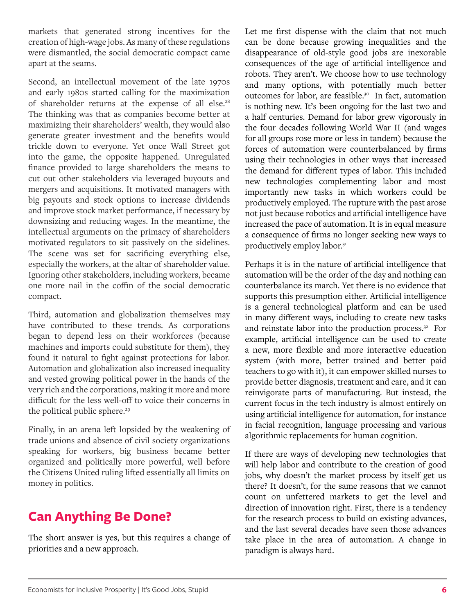markets that generated strong incentives for the creation of high-wage jobs. As many of these regulations were dismantled, the social democratic compact came apart at the seams.

Second, an intellectual movement of the late 1970s and early 1980s started calling for the maximization of shareholder returns at the expense of all else.<sup>28</sup> The thinking was that as companies become better at maximizing their shareholders' wealth, they would also generate greater investment and the benefits would trickle down to everyone. Yet once Wall Street got into the game, the opposite happened. Unregulated finance provided to large shareholders the means to cut out other stakeholders via leveraged buyouts and mergers and acquisitions. It motivated managers with big payouts and stock options to increase dividends and improve stock market performance, if necessary by downsizing and reducing wages. In the meantime, the intellectual arguments on the primacy of shareholders motivated regulators to sit passively on the sidelines. The scene was set for sacrificing everything else, especially the workers, at the altar of shareholder value. Ignoring other stakeholders, including workers, became one more nail in the coffin of the social democratic compact.

Third, automation and globalization themselves may have contributed to these trends. As corporations began to depend less on their workforces (because machines and imports could substitute for them), they found it natural to fight against protections for labor. Automation and globalization also increased inequality and vested growing political power in the hands of the very rich and the corporations, making it more and more difficult for the less well-off to voice their concerns in the political public sphere.<sup>29</sup>

Finally, in an arena left lopsided by the weakening of trade unions and absence of civil society organizations speaking for workers, big business became better organized and politically more powerful, well before the Citizens United ruling lifted essentially all limits on money in politics.

# **Can Anything Be Done?**

The short answer is yes, but this requires a change of priorities and a new approach.

Let me first dispense with the claim that not much can be done because growing inequalities and the disappearance of old-style good jobs are inexorable consequences of the age of artificial intelligence and robots. They aren't. We choose how to use technology and many options, with potentially much better outcomes for labor, are feasible.<sup>30</sup> In fact, automation is nothing new. It's been ongoing for the last two and a half centuries. Demand for labor grew vigorously in the four decades following World War II (and wages for all groups rose more or less in tandem) because the forces of automation were counterbalanced by firms using their technologies in other ways that increased the demand for different types of labor. This included new technologies complementing labor and most importantly new tasks in which workers could be productively employed. The rupture with the past arose not just because robotics and artificial intelligence have increased the pace of automation. It is in equal measure a consequence of firms no longer seeking new ways to productively employ labor.<sup>31</sup>

Perhaps it is in the nature of artificial intelligence that automation will be the order of the day and nothing can counterbalance its march. Yet there is no evidence that supports this presumption either. Artificial intelligence is a general technological platform and can be used in many different ways, including to create new tasks and reinstate labor into the production process.<sup>32</sup> For example, artificial intelligence can be used to create a new, more flexible and more interactive education system (with more, better trained and better paid teachers to go with it), it can empower skilled nurses to provide better diagnosis, treatment and care, and it can reinvigorate parts of manufacturing. But instead, the current focus in the tech industry is almost entirely on using artificial intelligence for automation, for instance in facial recognition, language processing and various algorithmic replacements for human cognition.

If there are ways of developing new technologies that will help labor and contribute to the creation of good jobs, why doesn't the market process by itself get us there? It doesn't, for the same reasons that we cannot count on unfettered markets to get the level and direction of innovation right. First, there is a tendency for the research process to build on existing advances, and the last several decades have seen those advances take place in the area of automation. A change in paradigm is always hard.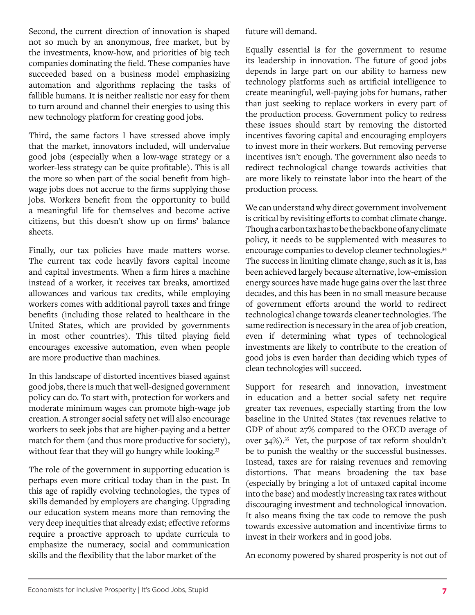Second, the current direction of innovation is shaped not so much by an anonymous, free market, but by the investments, know-how, and priorities of big tech companies dominating the field. These companies have succeeded based on a business model emphasizing automation and algorithms replacing the tasks of fallible humans. It is neither realistic nor easy for them to turn around and channel their energies to using this new technology platform for creating good jobs.

Third, the same factors I have stressed above imply that the market, innovators included, will undervalue good jobs (especially when a low-wage strategy or a worker-less strategy can be quite profitable). This is all the more so when part of the social benefit from highwage jobs does not accrue to the firms supplying those jobs. Workers benefit from the opportunity to build a meaningful life for themselves and become active citizens, but this doesn't show up on firms' balance sheets.

Finally, our tax policies have made matters worse. The current tax code heavily favors capital income and capital investments. When a firm hires a machine instead of a worker, it receives tax breaks, amortized allowances and various tax credits, while employing workers comes with additional payroll taxes and fringe benefits (including those related to healthcare in the United States, which are provided by governments in most other countries). This tilted playing field encourages excessive automation, even when people are more productive than machines.

In this landscape of distorted incentives biased against good jobs, there is much that well-designed government policy can do. To start with, protection for workers and moderate minimum wages can promote high-wage job creation. A stronger social safety net will also encourage workers to seek jobs that are higher-paying and a better match for them (and thus more productive for society), without fear that they will go hungry while looking.<sup>33</sup>

The role of the government in supporting education is perhaps even more critical today than in the past. In this age of rapidly evolving technologies, the types of skills demanded by employers are changing. Upgrading our education system means more than removing the very deep inequities that already exist; effective reforms require a proactive approach to update curricula to emphasize the numeracy, social and communication skills and the flexibility that the labor market of the

future will demand.

Equally essential is for the government to resume its leadership in innovation. The future of good jobs depends in large part on our ability to harness new technology platforms such as artificial intelligence to create meaningful, well-paying jobs for humans, rather than just seeking to replace workers in every part of the production process. Government policy to redress these issues should start by removing the distorted incentives favoring capital and encouraging employers to invest more in their workers. But removing perverse incentives isn't enough. The government also needs to redirect technological change towards activities that are more likely to reinstate labor into the heart of the production process.

We can understand why direct government involvement is critical by revisiting efforts to combat climate change. Though a carbon tax has to be the backbone of any climate policy, it needs to be supplemented with measures to encourage companies to develop cleaner technologies.34 The success in limiting climate change, such as it is, has been achieved largely because alternative, low-emission energy sources have made huge gains over the last three decades, and this has been in no small measure because of government efforts around the world to redirect technological change towards cleaner technologies. The same redirection is necessary in the area of job creation, even if determining what types of technological investments are likely to contribute to the creation of good jobs is even harder than deciding which types of clean technologies will succeed.

Support for research and innovation, investment in education and a better social safety net require greater tax revenues, especially starting from the low baseline in the United States (tax revenues relative to GDP of about 27% compared to the OECD average of over 34%).35 Yet, the purpose of tax reform shouldn't be to punish the wealthy or the successful businesses. Instead, taxes are for raising revenues and removing distortions. That means broadening the tax base (especially by bringing a lot of untaxed capital income into the base) and modestly increasing tax rates without discouraging investment and technological innovation. It also means fixing the tax code to remove the push towards excessive automation and incentivize firms to invest in their workers and in good jobs.

An economy powered by shared prosperity is not out of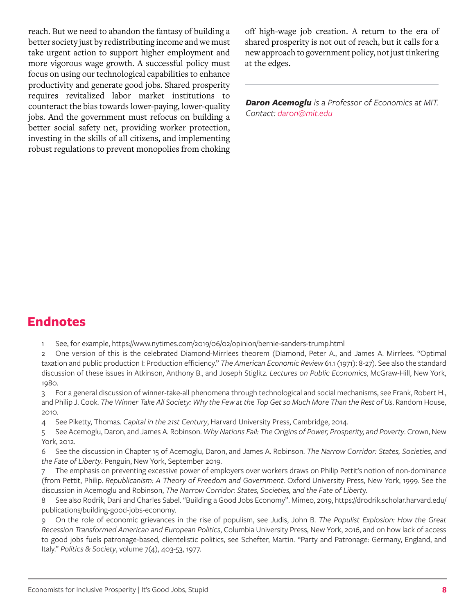reach. But we need to abandon the fantasy of building a better society just by redistributing income and we must take urgent action to support higher employment and more vigorous wage growth. A successful policy must focus on using our technological capabilities to enhance productivity and generate good jobs. Shared prosperity requires revitalized labor market institutions to counteract the bias towards lower-paying, lower-quality jobs. And the government must refocus on building a better social safety net, providing worker protection, investing in the skills of all citizens, and implementing robust regulations to prevent monopolies from choking

off high-wage job creation. A return to the era of shared prosperity is not out of reach, but it calls for a new approach to government policy, not just tinkering at the edges.

*Daron Acemoglu is a Professor of Economics at MIT. Contact: daron[@mit.edu](mailto:sblack%40austin.utexas.edu?subject=)*

#### **Endnotes**

- 1 See, for example, https://www.nytimes.com/2019/06/02/opinion/bernie-sanders-trump.html
- 2 One version of this is the celebrated Diamond-Mirrlees theorem (Diamond, Peter A., and James A. Mirrlees. "Optimal taxation and public production I: Production efficiency." *The American Economic Review* 61.1 (1971): 8-27). See also the standard discussion of these issues in Atkinson, Anthony B., and Joseph Stiglitz. *Lectures on Public Economics*, McGraw-Hill, New York, 1980.
- 3 For a general discussion of winner-take-all phenomena through technological and social mechanisms, see Frank, Robert H., and Philip J. Cook. *The Winner Take All Society: Why the Few at the Top Get so Much More Than the Rest of Us*. Random House, 2010.
- 4 See Piketty, Thomas. *Capital in the 21st Century*, Harvard University Press, Cambridge, 2014.
- 5 See Acemoglu, Daron, and James A. Robinson. *Why Nations Fail: The Origins of Power, Prosperity, and Poverty*. Crown, New York, 2012.
- 6 See the discussion in Chapter 15 of Acemoglu, Daron, and James A. Robinson. *The Narrow Corridor: States, Societies, and the Fate of Liberty*. Penguin, New York, September 2019.
- 7 The emphasis on preventing excessive power of employers over workers draws on Philip Pettit's notion of non-dominance (from Pettit, Philip. *Republicanism: A Theory of Freedom and Government*. Oxford University Press, New York, 1999. See the discussion in Acemoglu and Robinson, *The Narrow Corridor: States, Societies, and the Fate of Libert*y.
- 8 See also Rodrik, Dani and Charles Sabel. "Building a Good Jobs Economy". Mimeo, 2019, https://drodrik.scholar.harvard.edu/ publications/building-good-jobs-economy.
- 9 On the role of economic grievances in the rise of populism, see Judis, John B. *The Populist Explosion: How the Great Recession Transformed American and European Politics*, Columbia University Press, New York, 2016, and on how lack of access to good jobs fuels patronage-based, clientelistic politics, see Schefter, Martin. "Party and Patronage: Germany, England, and Italy." *Politics & Society*, volume 7(4), 403-53, 1977.